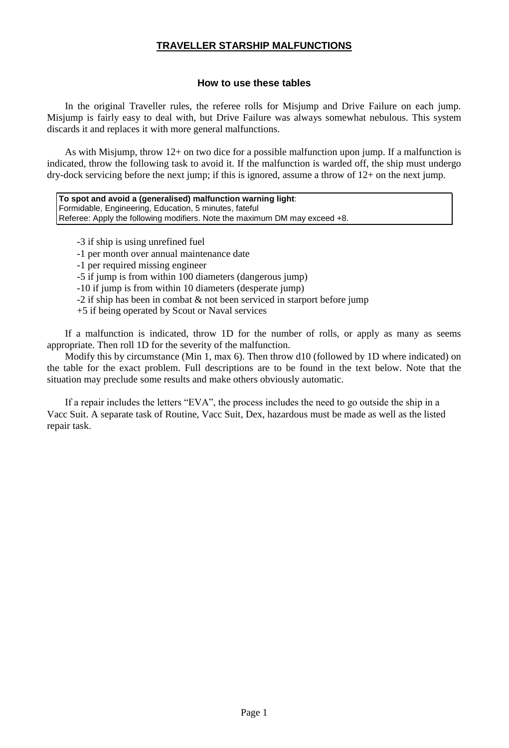# **How to use these tables**

In the original Traveller rules, the referee rolls for Misjump and Drive Failure on each jump. Misjump is fairly easy to deal with, but Drive Failure was always somewhat nebulous. This system discards it and replaces it with more general malfunctions.

As with Misjump, throw 12+ on two dice for a possible malfunction upon jump. If a malfunction is indicated, throw the following task to avoid it. If the malfunction is warded off, the ship must undergo dry-dock servicing before the next jump; if this is ignored, assume a throw of 12+ on the next jump.

**To spot and avoid a (generalised) malfunction warning light**: Formidable, Engineering, Education, 5 minutes, fateful Referee: Apply the following modifiers. Note the maximum DM may exceed +8.

-3 if ship is using unrefined fuel

-1 per month over annual maintenance date

-1 per required missing engineer

-5 if jump is from within 100 diameters (dangerous jump)

-10 if jump is from within 10 diameters (desperate jump)

-2 if ship has been in combat & not been serviced in starport before jump

+5 if being operated by Scout or Naval services

If a malfunction is indicated, throw 1D for the number of rolls, or apply as many as seems appropriate. Then roll 1D for the severity of the malfunction.

Modify this by circumstance (Min 1, max 6). Then throw d10 (followed by 1D where indicated) on the table for the exact problem. Full descriptions are to be found in the text below. Note that the situation may preclude some results and make others obviously automatic.

If a repair includes the letters "EVA", the process includes the need to go outside the ship in a Vacc Suit. A separate task of Routine, Vacc Suit, Dex, hazardous must be made as well as the listed repair task.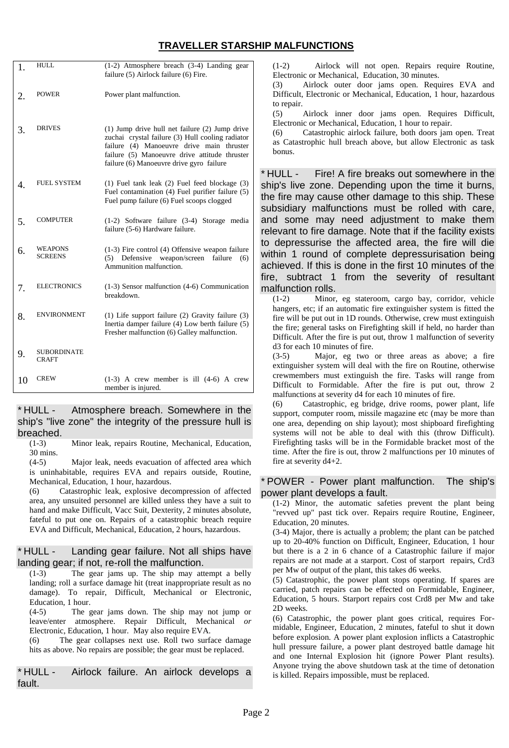| 1.          | <b>HULL</b>                      | (1-2) Atmosphere breach (3-4) Landing gear<br>failure (5) Airlock failure (6) Fire.                                                                                                                                                          |
|-------------|----------------------------------|----------------------------------------------------------------------------------------------------------------------------------------------------------------------------------------------------------------------------------------------|
| 2.          | <b>POWER</b>                     | Power plant malfunction.                                                                                                                                                                                                                     |
| 3.          | <b>DRIVES</b>                    | (1) Jump drive hull net failure (2) Jump drive<br>zuchai crystal failure (3) Hull cooling radiator<br>failure (4) Manoeuvre drive main thruster<br>failure (5) Manoeuvre drive attitude thruster<br>failure (6) Manoeuvre drive gyro failure |
| $\mathbf 4$ | <b>FUEL SYSTEM</b>               | (1) Fuel tank leak (2) Fuel feed blockage (3)<br>Fuel contamination (4) Fuel purifier failure (5)<br>Fuel pump failure (6) Fuel scoops clogged                                                                                               |
| 5.          | <b>COMPUTER</b>                  | (1-2) Software failure (3-4) Storage media<br>failure (5-6) Hardware failure.                                                                                                                                                                |
| 6.          | <b>WEAPONS</b><br><b>SCREENS</b> | $(1-3)$ Fire control $(4)$ Offensive weapon failure<br>Defensive<br>weapon/screen<br>failure<br>(5)<br>(6)<br>Ammunition malfunction.                                                                                                        |
| 7.          | <b>ELECTRONICS</b>               | (1-3) Sensor malfunction (4-6) Communication<br>breakdown.                                                                                                                                                                                   |
| 8.          | <b>ENVIRONMENT</b>               | $(1)$ Life support failure $(2)$ Gravity failure $(3)$<br>Inertia damper failure (4) Low berth failure (5)<br>Fresher malfunction (6) Galley malfunction.                                                                                    |
| 9.          | <b>SUBORDINATE</b><br>CRAFT      |                                                                                                                                                                                                                                              |
| 10          | <b>CREW</b>                      | $(1-3)$ A crew member is ill $(4-6)$ A crew<br>member is injured.                                                                                                                                                                            |

\* HULL - Atmosphere breach. Somewhere in the ship's "live zone" the integrity of the pressure hull is breached.

(1-3) Minor leak, repairs Routine, Mechanical, Education, 30 mins.

(4-5) Major leak, needs evacuation of affected area which is uninhabitable, requires EVA and repairs outside, Routine, Mechanical, Education, 1 hour, hazardous.

(6) Catastrophic leak, explosive decompression of affected area, any unsuited personnel are killed unless they have a suit to hand and make Difficult, Vacc Suit, Dexterity, 2 minutes absolute, fateful to put one on. Repairs of a catastrophic breach require EVA and Difficult, Mechanical, Education, 2 hours, hazardous.

### \* HULL - Landing gear failure. Not all ships have landing gear; if not, re-roll the malfunction.

(1-3) The gear jams up. The ship may attempt a belly landing; roll a surface damage hit (treat inappropriate result as no damage). To repair, Difficult, Mechanical or Electronic, Education, 1 hour.

(4-5) The gear jams down. The ship may not jump or leave/enter atmosphere. Repair Difficult, Mechanical *or* Electronic, Education, 1 hour. May also require EVA.

(6) The gear collapses next use. Roll two surface damage hits as above. No repairs are possible; the gear must be replaced.

\* HULL - Airlock failure. An airlock develops a fault.

(1-2) Airlock will not open. Repairs require Routine, Electronic or Mechanical, Education, 30 minutes.

(3) Airlock outer door jams open. Requires EVA and Difficult, Electronic or Mechanical, Education, 1 hour, hazardous to repair.

(5) Airlock inner door jams open. Requires Difficult, Electronic or Mechanical, Education, 1 hour to repair.

(6) Catastrophic airlock failure, both doors jam open. Treat as Catastrophic hull breach above, but allow Electronic as task bonus.

\* HULL - Fire! A fire breaks out somewhere in the ship's live zone. Depending upon the time it burns, the fire may cause other damage to this ship. These subsidiary malfunctions must be rolled with care, and some may need adjustment to make them relevant to fire damage. Note that if the facility exists to depressurise the affected area, the fire will die within 1 round of complete depressurisation being achieved. If this is done in the first 10 minutes of the fire, subtract 1 from the severity of resultant malfunction rolls.

(1-2) Minor, eg stateroom, cargo bay, corridor, vehicle hangers, etc; if an automatic fire extinguisher system is fitted the fire will be put out in 1D rounds. Otherwise, crew must extinguish the fire; general tasks on Firefighting skill if held, no harder than Difficult. After the fire is put out, throw 1 malfunction of severity d3 for each 10 minutes of fire.

(3-5) Major, eg two or three areas as above; a fire extinguisher system will deal with the fire on Routine, otherwise crewmembers must extinguish the fire. Tasks will range from Difficult to Formidable. After the fire is put out, throw 2 malfunctions at severity d4 for each 10 minutes of fire.

(6) Catastrophic, eg bridge, drive rooms, power plant, life support, computer room, missile magazine etc (may be more than one area, depending on ship layout); most shipboard firefighting systems will not be able to deal with this (throw Difficult). Firefighting tasks will be in the Formidable bracket most of the time. After the fire is out, throw 2 malfunctions per 10 minutes of fire at severity d4+2.

#### \* POWER - Power plant malfunction. The ship's power plant develops a fault.

(1-2) Minor, the automatic safeties prevent the plant being "revved up" past tick over. Repairs require Routine, Engineer, Education, 20 minutes.

(3-4) Major, there is actually a problem; the plant can be patched up to 20-40% function on Difficult, Engineer, Education, 1 hour but there is a 2 in 6 chance of a Catastrophic failure if major repairs are not made at a starport. Cost of starport repairs, Crd3 per Mw of output of the plant, this takes d6 weeks.

(5) Catastrophic, the power plant stops operating. If spares are carried, patch repairs can be effected on Formidable, Engineer, Education, 5 hours. Starport repairs cost Crd8 per Mw and take 2D weeks.

(6) Catastrophic, the power plant goes critical, requires Formidable, Engineer, Education, 2 minutes, fateful to shut it down before explosion. A power plant explosion inflicts a Catastrophic hull pressure failure, a power plant destroyed battle damage hit and one Internal Explosion hit (ignore Power Plant results). Anyone trying the above shutdown task at the time of detonation is killed. Repairs impossible, must be replaced.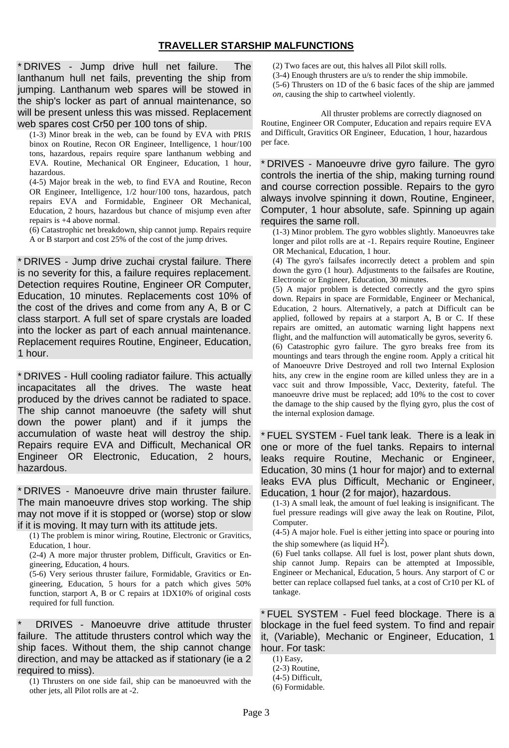\* DRIVES - Jump drive hull net failure. The lanthanum hull net fails, preventing the ship from jumping. Lanthanum web spares will be stowed in the ship's locker as part of annual maintenance, so will be present unless this was missed. Replacement web spares cost Cr50 per 100 tons of ship.

(1-3) Minor break in the web, can be found by EVA with PRIS binox on Routine, Recon OR Engineer, Intelligence, 1 hour/100 tons, hazardous, repairs require spare lanthanum webbing and EVA. Routine, Mechanical OR Engineer, Education, 1 hour, hazardous.

(4-5) Major break in the web, to find EVA and Routine, Recon OR Engineer, Intelligence, 1/2 hour/100 tons, hazardous, patch repairs EVA and Formidable, Engineer OR Mechanical, Education, 2 hours, hazardous but chance of misjump even after repairs is +4 above normal.

(6) Catastrophic net breakdown, ship cannot jump. Repairs require A or B starport and cost 25% of the cost of the jump drives.

\* DRIVES - Jump drive zuchai crystal failure. There is no severity for this, a failure requires replacement. Detection requires Routine, Engineer OR Computer, Education, 10 minutes. Replacements cost 10% of the cost of the drives and come from any A, B or C class starport. A full set of spare crystals are loaded into the locker as part of each annual maintenance. Replacement requires Routine, Engineer, Education, 1 hour.

\* DRIVES - Hull cooling radiator failure. This actually incapacitates all the drives. The waste heat produced by the drives cannot be radiated to space. The ship cannot manoeuvre (the safety will shut down the power plant) and if it jumps the accumulation of waste heat will destroy the ship. Repairs require EVA and Difficult, Mechanical OR Engineer OR Electronic, Education, 2 hours, hazardous.

\* DRIVES - Manoeuvre drive main thruster failure. The main manoeuvre drives stop working. The ship may not move if it is stopped or (worse) stop or slow if it is moving. It may turn with its attitude jets.

(1) The problem is minor wiring, Routine, Electronic or Gravitics, Education, 1 hour.

(2-4) A more major thruster problem, Difficult, Gravitics or Engineering, Education, 4 hours.

(5-6) Very serious thruster failure, Formidable, Gravitics or Engineering, Education, 5 hours for a patch which gives 50% function, starport A, B or C repairs at 1DX10% of original costs required for full function.

DRIVES - Manoeuvre drive attitude thruster failure. The attitude thrusters control which way the ship faces. Without them, the ship cannot change direction, and may be attacked as if stationary (ie a 2 required to miss).

(1) Thrusters on one side fail, ship can be manoeuvred with the other jets, all Pilot rolls are at -2.

(2) Two faces are out, this halves all Pilot skill rolls.

- (3-4) Enough thrusters are u/s to render the ship immobile.
- (5-6) Thrusters on 1D of the 6 basic faces of the ship are jammed

*on,* causing the ship to cartwheel violently.

All thruster problems are correctly diagnosed on Routine, Engineer OR Computer, Education and repairs require EVA and Difficult, Gravitics OR Engineer, Education, 1 hour, hazardous per face.

\* DRIVES - Manoeuvre drive gyro failure. The gyro controls the inertia of the ship, making turning round and course correction possible. Repairs to the gyro always involve spinning it down, Routine, Engineer, Computer, 1 hour absolute, safe. Spinning up again requires the same roll.

(1-3) Minor problem. The gyro wobbles slightly. Manoeuvres take longer and pilot rolls are at -1. Repairs require Routine, Engineer OR Mechanical, Education, 1 hour.

(4) The gyro's failsafes incorrectly detect a problem and spin down the gyro (1 hour). Adjustments to the failsafes are Routine, Electronic or Engineer, Education, 30 minutes.

(5) A major problem is detected correctly and the gyro spins down. Repairs in space are Formidable, Engineer or Mechanical, Education, 2 hours. Alternatively, a patch at Difficult can be applied, followed by repairs at a starport A, B or C. If these repairs are omitted, an automatic warning light happens next flight, and the malfunction will automatically be gyros, severity 6. (6) Catastrophic gyro failure. The gyro breaks free from its mountings and tears through the engine room. Apply a critical hit of Manoeuvre Drive Destroyed and roll two Internal Explosion hits, any crew in the engine room are killed unless they are in a vacc suit and throw Impossible, Vacc, Dexterity, fateful. The manoeuvre drive must be replaced; add 10% to the cost to cover the damage to the ship caused by the flying gyro, plus the cost of the internal explosion damage.

\* FUEL SYSTEM - Fuel tank leak. There is a leak in one or more of the fuel tanks. Repairs to internal leaks require Routine, Mechanic or Engineer, Education, 30 mins (1 hour for major) and to external leaks EVA plus Difficult, Mechanic or Engineer, Education, 1 hour (2 for major), hazardous.

(1-3) A small leak, the amount of fuel leaking is insignificant. The fuel pressure readings will give away the leak on Routine, Pilot, Computer.

(4-5) A major hole. Fuel is either jetting into space or pouring into the ship somewhere (as liquid  $H^2$ ).

(6) Fuel tanks collapse. All fuel is lost, power plant shuts down, ship cannot Jump. Repairs can be attempted at Impossible, Engineer or Mechanical, Education, 5 hours. Any starport of C or better can replace collapsed fuel tanks, at a cost of Cr10 per KL of tankage.

\* FUEL SYSTEM - Fuel feed blockage. There is a blockage in the fuel feed system. To find and repair it, (Variable), Mechanic or Engineer, Education, 1 hour. For task:

- (1) Easy,
- (2-3) Routine,
- (4-5) Difficult,
- (6) Formidable.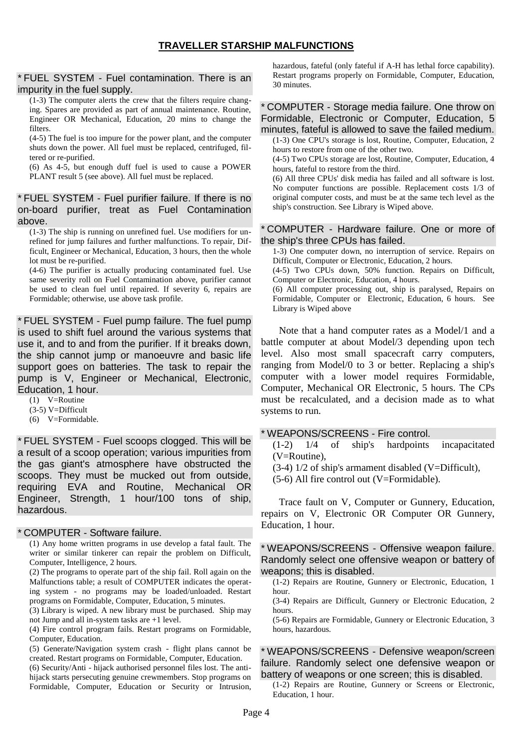\* FUEL SYSTEM - Fuel contamination. There is an impurity in the fuel supply.

(1-3) The computer alerts the crew that the filters require changing. Spares are provided as part of annual maintenance. Routine, Engineer OR Mechanical, Education, 20 mins to change the filters.

(4-5) The fuel is too impure for the power plant, and the computer shuts down the power. All fuel must be replaced, centrifuged, filtered or re-purified.

(6) As 4-5, but enough duff fuel is used to cause a POWER PLANT result 5 (see above). All fuel must be replaced.

\* FUEL SYSTEM - Fuel purifier failure. If there is no on-board purifier, treat as Fuel Contamination above.

(1-3) The ship is running on unrefined fuel. Use modifiers for unrefined for jump failures and further malfunctions. To repair, Difficult, Engineer or Mechanical, Education, 3 hours, then the whole lot must be re-purified.

(4-6) The purifier is actually producing contaminated fuel. Use same severity roll on Fuel Contamination above, purifier cannot be used to clean fuel until repaired. If severity 6, repairs are Formidable; otherwise, use above task profile.

\* FUEL SYSTEM - Fuel pump failure. The fuel pump is used to shift fuel around the various systems that use it, and to and from the purifier. If it breaks down, the ship cannot jump or manoeuvre and basic life support goes on batteries. The task to repair the pump is V, Engineer or Mechanical, Electronic, Education, 1 hour.

(1) V=Routine

(3-5) V=Difficult

(6) V=Formidable.

\* FUEL SYSTEM - Fuel scoops clogged. This will be a result of a scoop operation; various impurities from the gas giant's atmosphere have obstructed the scoops. They must be mucked out from outside, requiring EVA and Routine, Mechanical OR Engineer, Strength, 1 hour/100 tons of ship, hazardous.

#### \* COMPUTER - Software failure.

(1) Any home written programs in use develop a fatal fault. The writer or similar tinkerer can repair the problem on Difficult, Computer, Intelligence, 2 hours.

(2) The programs to operate part of the ship fail. Roll again on the Malfunctions table; a result of COMPUTER indicates the operating system - no programs may be loaded/unloaded. Restart programs on Formidable, Computer, Education, 5 minutes.

(3) Library is wiped. A new library must be purchased. Ship may not Jump and all in-system tasks are +1 level.

(4) Fire control program fails. Restart programs on Formidable, Computer, Education.

(5) Generate/Navigation system crash - flight plans cannot be created. Restart programs on Formidable, Computer, Education.

(6) Security/Anti - hijack authorised personnel files lost. The antihijack starts persecuting genuine crewmembers. Stop programs on Formidable, Computer, Education or Security or Intrusion, hazardous, fateful (only fateful if A-H has lethal force capability). Restart programs properly on Formidable, Computer, Education, 30 minutes.

# \* COMPUTER - Storage media failure. One throw on Formidable, Electronic or Computer, Education, 5 minutes, fateful is allowed to save the failed medium.

(1-3) One CPU's storage is lost, Routine, Computer, Education, 2 hours to restore from one of the other two.

(4-5) Two CPUs storage are lost, Routine, Computer, Education, 4 hours, fateful to restore from the third.

(6) All three CPUs' disk media has failed and all software is lost. No computer functions are possible. Replacement costs 1/3 of original computer costs, and must be at the same tech level as the ship's construction. See Library is Wiped above.

\* COMPUTER - Hardware failure. One or more of the ship's three CPUs has failed.

1-3) One computer down, no interruption of service. Repairs on Difficult, Computer or Electronic, Education, 2 hours. (4-5) Two CPUs down, 50% function. Repairs on Difficult, Computer or Electronic, Education, 4 hours. (6) All computer processing out, ship is paralysed, Repairs on Formidable, Computer or Electronic, Education, 6 hours. See

Library is Wiped above

Note that a hand computer rates as a Model/1 and a battle computer at about Model/3 depending upon tech level. Also most small spacecraft carry computers, ranging from Model/0 to 3 or better. Replacing a ship's computer with a lower model requires Formidable, Computer, Mechanical OR Electronic, 5 hours. The CPs must be recalculated, and a decision made as to what systems to run.

#### \* WEAPONS/SCREENS - Fire control.

(1-2) 1/4 of ship's hardpoints incapacitated (V=Routine),

(3-4) 1/2 of ship's armament disabled (V=Difficult),

(5-6) All fire control out (V=Formidable).

Trace fault on V, Computer or Gunnery, Education, repairs on V, Electronic OR Computer OR Gunnery, Education, 1 hour.

\* WEAPONS/SCREENS - Offensive weapon failure. Randomly select one offensive weapon or battery of weapons; this is disabled.

(1-2) Repairs are Routine, Gunnery or Electronic, Education, 1 hour.

(3-4) Repairs are Difficult, Gunnery or Electronic Education, 2 hours.

(5-6) Repairs are Formidable, Gunnery or Electronic Education, 3 hours, hazardous.

\* WEAPONS/SCREENS - Defensive weapon/screen failure. Randomly select one defensive weapon or battery of weapons or one screen; this is disabled.

(1-2) Repairs are Routine, Gunnery or Screens or Electronic, Education, 1 hour.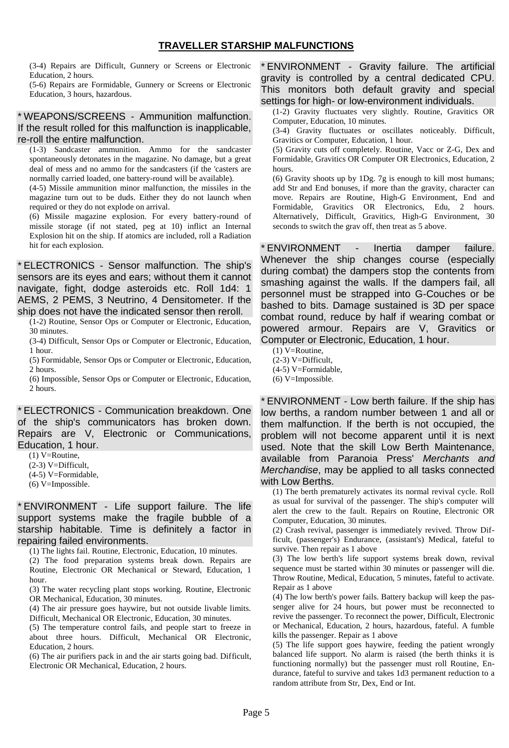(3-4) Repairs are Difficult, Gunnery or Screens or Electronic Education, 2 hours.

(5-6) Repairs are Formidable, Gunnery or Screens or Electronic Education, 3 hours, hazardous.

# \* WEAPONS/SCREENS - Ammunition malfunction. If the result rolled for this malfunction is inapplicable, re-roll the entire malfunction.

(1-3) Sandcaster ammunition. Ammo for the sandcaster spontaneously detonates in the magazine. No damage, but a great deal of mess and no ammo for the sandcasters (if the 'casters are normally carried loaded, one battery-round will be available).

(4-5) Missile ammunition minor malfunction, the missiles in the magazine turn out to be duds. Either they do not launch when required or they do not explode on arrival.

(6) Missile magazine explosion. For every battery-round of missile storage (if not stated, peg at 10) inflict an Internal Explosion hit on the ship. If atomics are included, roll a Radiation hit for each explosion.

\* ELECTRONICS - Sensor malfunction. The ship's sensors are its eyes and ears; without them it cannot navigate, fight, dodge asteroids etc. Roll 1d4: 1 AEMS, 2 PEMS, 3 Neutrino, 4 Densitometer. If the ship does not have the indicated sensor then reroll.

(1-2) Routine, Sensor Ops or Computer or Electronic, Education, 30 minutes.

(3-4) Difficult, Sensor Ops or Computer or Electronic, Education, 1 hour.

(5) Formidable, Sensor Ops or Computer or Electronic, Education, 2 hours.

(6) Impossible, Sensor Ops or Computer or Electronic, Education, 2 hours.

\* ELECTRONICS - Communication breakdown. One of the ship's communicators has broken down. Repairs are V, Electronic or Communications, Education, 1 hour.

(1) V=Routine,

(2-3) V=Difficult,

(4-5) V=Formidable,

(6) V=Impossible.

\* ENVIRONMENT - Life support failure. The life support systems make the fragile bubble of a starship habitable. Time is definitely a factor in repairing failed environments.

(1) The lights fail. Routine, Electronic, Education, 10 minutes.

(2) The food preparation systems break down. Repairs are Routine, Electronic OR Mechanical or Steward, Education, 1 hour.

(3) The water recycling plant stops working. Routine, Electronic OR Mechanical, Education, 30 minutes.

(4) The air pressure goes haywire, but not outside livable limits. Difficult, Mechanical OR Electronic, Education, 30 minutes.

(5) The temperature control fails, and people start to freeze in about three hours. Difficult, Mechanical OR Electronic, Education, 2 hours.

(6) The air purifiers pack in and the air starts going bad. Difficult, Electronic OR Mechanical, Education, 2 hours.

\* ENVIRONMENT - Gravity failure. The artificial gravity is controlled by a central dedicated CPU. This monitors both default gravity and special settings for high- or low-environment individuals.

(1-2) Gravity fluctuates very slightly. Routine, Gravitics OR Computer, Education, 10 minutes.

(3-4) Gravity fluctuates or oscillates noticeably. Difficult, Gravitics or Computer, Education, 1 hour.

(5) Gravity cuts off completely. Routine, Vacc or Z-G, Dex and Formidable, Gravitics OR Computer OR Electronics, Education, 2 hours.

(6) Gravity shoots up by 1Dg. 7g is enough to kill most humans; add Str and End bonuses, if more than the gravity, character can move. Repairs are Routine, High-G Environment, End and Formidable, Gravitics OR Electronics, Edu, 2 hours. Alternatively, Difficult, Gravitics, High-G Environment, 30 seconds to switch the grav off, then treat as 5 above.

\* ENVIRONMENT - Inertia damper failure. Whenever the ship changes course (especially during combat) the dampers stop the contents from smashing against the walls. If the dampers fail, all personnel must be strapped into G-Couches or be bashed to bits. Damage sustained is 3D per space combat round, reduce by half if wearing combat or powered armour. Repairs are V, Gravitics or Computer or Electronic, Education, 1 hour.

(1) V=Routine,

(2-3) V=Difficult,

(4-5) V=Formidable,

(6) V=Impossible.

\* ENVIRONMENT - Low berth failure. If the ship has low berths, a random number between 1 and all or them malfunction. If the berth is not occupied, the problem will not become apparent until it is next used. Note that the skill Low Berth Maintenance, available from Paranoia Press' *Merchants and Merchandise*, may be applied to all tasks connected with Low Berths.

(1) The berth prematurely activates its normal revival cycle. Roll as usual for survival of the passenger. The ship's computer will alert the crew to the fault. Repairs on Routine, Electronic OR Computer, Education, 30 minutes.

(2) Crash revival, passenger is immediately revived. Throw Difficult, (passenger's) Endurance, (assistant's) Medical, fateful to survive. Then repair as 1 above

(3) The low berth's life support systems break down, revival sequence must be started within 30 minutes or passenger will die. Throw Routine, Medical, Education, 5 minutes, fateful to activate. Repair as 1 above

(4) The low berth's power fails. Battery backup will keep the passenger alive for 24 hours, but power must be reconnected to revive the passenger. To reconnect the power, Difficult, Electronic or Mechanical, Education, 2 hours, hazardous, fateful. A fumble kills the passenger. Repair as 1 above

(5) The life support goes haywire, feeding the patient wrongly balanced life support. No alarm is raised (the berth thinks it is functioning normally) but the passenger must roll Routine, Endurance, fateful to survive and takes 1d3 permanent reduction to a random attribute from Str, Dex, End or Int.